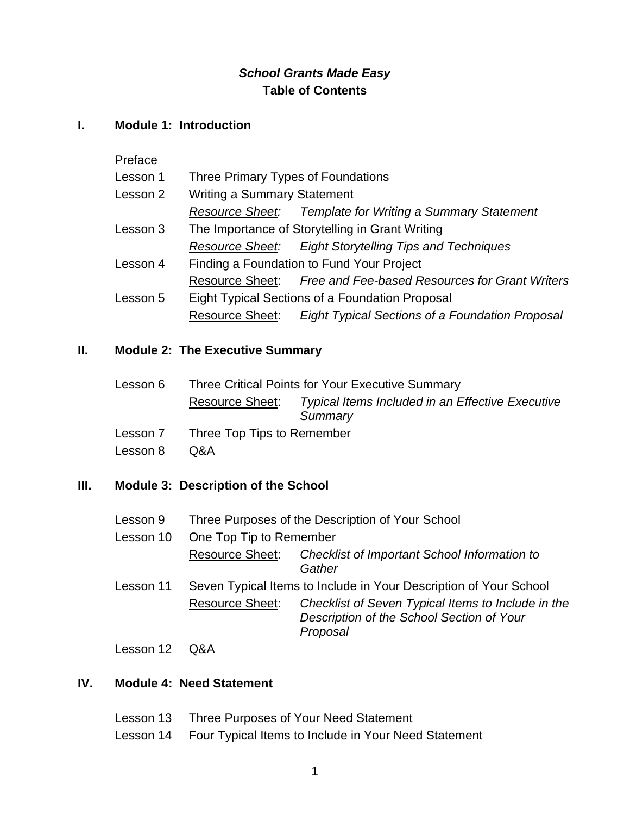### *School Grants Made Easy* **Table of Contents**

#### **I. Module 1: Introduction**

Preface

| Lesson 1 | Three Primary Types of Foundations              |                                                                 |
|----------|-------------------------------------------------|-----------------------------------------------------------------|
| Lesson 2 | <b>Writing a Summary Statement</b>              |                                                                 |
|          |                                                 | Resource Sheet: Template for Writing a Summary Statement        |
| Lesson 3 | The Importance of Storytelling in Grant Writing |                                                                 |
|          |                                                 | Resource Sheet: Eight Storytelling Tips and Techniques          |
| Lesson 4 | Finding a Foundation to Fund Your Project       |                                                                 |
|          |                                                 | Resource Sheet: Free and Fee-based Resources for Grant Writers  |
| Lesson 5 | Eight Typical Sections of a Foundation Proposal |                                                                 |
|          |                                                 | Resource Sheet: Eight Typical Sections of a Foundation Proposal |

#### **II. Module 2: The Executive Summary**

| Lesson 6 | Three Critical Points for Your Executive Summary |                                                  |  |
|----------|--------------------------------------------------|--------------------------------------------------|--|
|          | <b>Resource Sheet:</b>                           | Typical Items Included in an Effective Executive |  |
|          |                                                  | Summary                                          |  |
| Lesson 7 | Three Top Tips to Remember                       |                                                  |  |

Lesson 8 Q&A

#### **III. Module 3: Description of the School**

- Lesson 9 Three Purposes of the Description of Your School
- Lesson 10 One Top Tip to Remember

Resource Sheet: *Checklist of Important School Information to Gather*

Lesson 11 Seven Typical Items to Include in Your Description of Your School Resource Sheet: *Checklist of Seven Typical Items to Include in the Description of the School Section of Your Proposal*

Lesson 12 Q&A

#### **IV. Module 4: Need Statement**

Lesson 13 Three Purposes of Your Need Statement Lesson 14 Four Typical Items to Include in Your Need Statement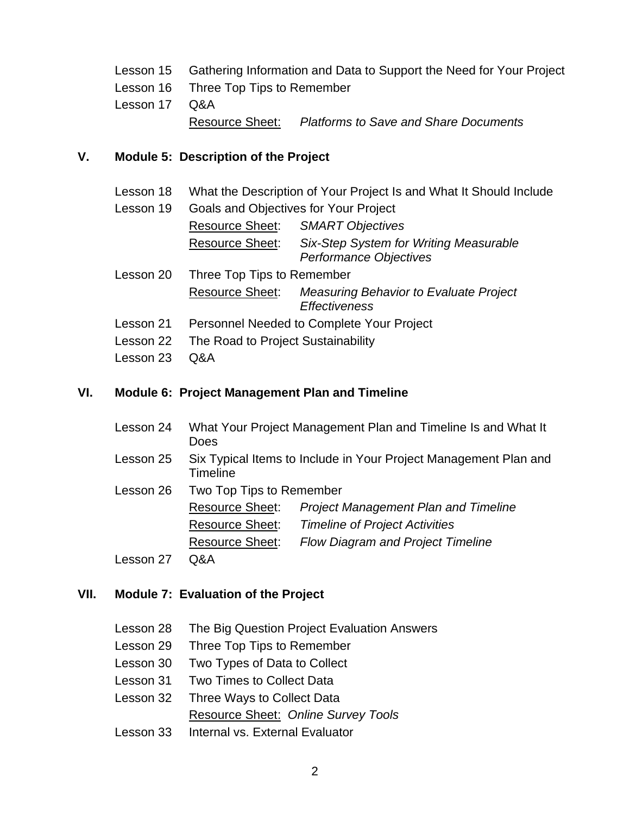|               | Lesson 15 Gathering Information and Data to Support the Need for Your Project |                                                       |
|---------------|-------------------------------------------------------------------------------|-------------------------------------------------------|
|               | Lesson 16 Three Top Tips to Remember                                          |                                                       |
| Lesson 17 Q&A |                                                                               |                                                       |
|               |                                                                               | Resource Sheet: Platforms to Save and Share Documents |

# **V. Module 5: Description of the Project**

| Lesson 18 | What the Description of Your Project Is and What It Should Include |                                                                       |
|-----------|--------------------------------------------------------------------|-----------------------------------------------------------------------|
| Lesson 19 |                                                                    | <b>Goals and Objectives for Your Project</b>                          |
|           | <b>Resource Sheet:</b>                                             | <b>SMART Objectives</b>                                               |
|           | <b>Resource Sheet:</b>                                             | Six-Step System for Writing Measurable<br>Performance Objectives      |
| Lesson 20 | Three Top Tips to Remember                                         |                                                                       |
|           | <b>Resource Sheet:</b>                                             | <b>Measuring Behavior to Evaluate Project</b><br><b>Effectiveness</b> |
| Lesson 21 | Personnel Needed to Complete Your Project                          |                                                                       |
| Lesson 22 | The Road to Project Sustainability                                 |                                                                       |
| Lesson 23 | Q&A                                                                |                                                                       |

## **VI. Module 6: Project Management Plan and Timeline**

| Lesson 24 | Does                                                                         | What Your Project Management Plan and Timeline Is and What It |
|-----------|------------------------------------------------------------------------------|---------------------------------------------------------------|
| Lesson 25 | Six Typical Items to Include in Your Project Management Plan and<br>Timeline |                                                               |
| Lesson 26 | Two Top Tips to Remember                                                     |                                                               |
|           | <b>Resource Sheet:</b>                                                       | <b>Project Management Plan and Timeline</b>                   |
|           | <b>Resource Sheet:</b>                                                       | <b>Timeline of Project Activities</b>                         |
|           | <b>Resource Sheet:</b>                                                       | <b>Flow Diagram and Project Timeline</b>                      |
| Lesson 27 | Q&A                                                                          |                                                               |

# **VII. Module 7: Evaluation of the Project**

| Lesson 28 The Big Question Project Evaluation Answers |  |  |
|-------------------------------------------------------|--|--|
| Lesson 29 Three Top Tips to Remember                  |  |  |
| Lesson 30 Two Types of Data to Collect                |  |  |
| Lesson 31 Two Times to Collect Data                   |  |  |
| Lesson 32 Three Ways to Collect Data                  |  |  |
| Resource Sheet: Online Survey Tools                   |  |  |
| Lesson 33 Internal vs. External Evaluator             |  |  |